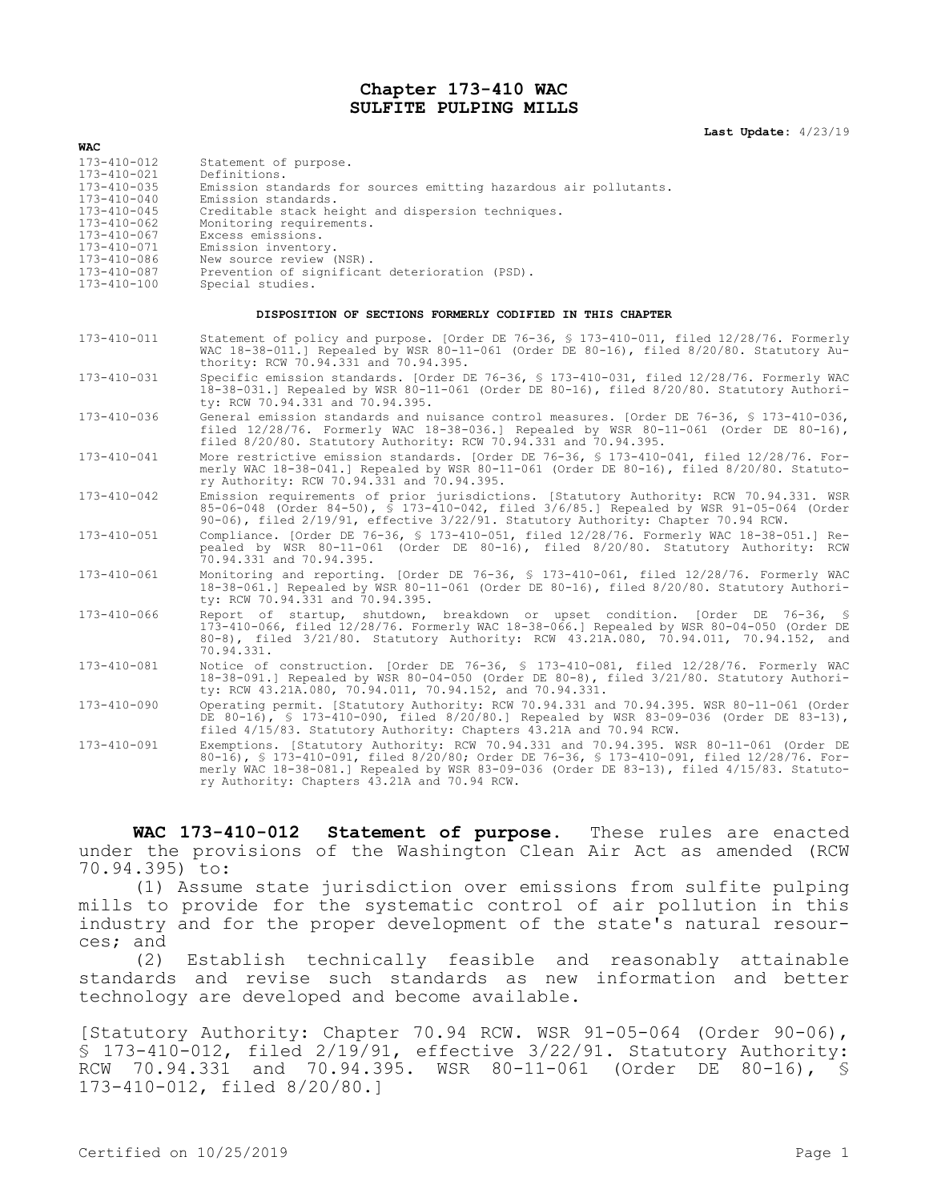## **Chapter 173-410 WAC SULFITE PULPING MILLS**

## **Last Update:** 4/23/19

| <b>WAC</b>                                                                                                                                                                                      |                                                                                                                                                                                                                                                                                                                                                                   |
|-------------------------------------------------------------------------------------------------------------------------------------------------------------------------------------------------|-------------------------------------------------------------------------------------------------------------------------------------------------------------------------------------------------------------------------------------------------------------------------------------------------------------------------------------------------------------------|
| $173 - 410 - 012$<br>173-410-021<br>$173 - 410 - 035$<br>$173 - 410 - 040$<br>$173 - 410 - 045$<br>173-410-062<br>$173 - 410 - 067$<br>173-410-071<br>173-410-086<br>173-410-087<br>173-410-100 | Statement of purpose.<br>Definitions.<br>Emission standards for sources emitting hazardous air pollutants.<br>Emission standards.<br>Creditable stack height and dispersion techniques.<br>Monitoring requirements.<br>Excess emissions.<br>Emission inventory.<br>New source review (NSR).<br>Prevention of significant deterioration (PSD).<br>Special studies. |
| DISPOSITION OF SECTIONS FORMERLY CODIFIED IN THIS CHAPTER                                                                                                                                       |                                                                                                                                                                                                                                                                                                                                                                   |
| $173 - 410 - 011$                                                                                                                                                                               | Statement of policy and purpose. [Order DE 76-36, § 173-410-011, filed 12/28/76. Formerly<br>WAC 18-38-011.] Repealed by WSR 80-11-061 (Order DE 80-16), filed 8/20/80. Statutory Au-<br>thority: RCW 70.94.331 and 70.94.395.                                                                                                                                    |
| 173-410-031                                                                                                                                                                                     | Specific emission standards. [Order DE 76-36, § 173-410-031, filed 12/28/76. Formerly WAC<br>18-38-031.] Repealed by WSR 80-11-061 (Order DE 80-16), filed 8/20/80. Statutory Authori-<br>ty: RCW 70.94.331 and 70.94.395.                                                                                                                                        |
| 173-410-036                                                                                                                                                                                     | General emission standards and nuisance control measures. [Order DE 76-36, § 173-410-036,<br>filed 12/28/76. Formerly WAC 18-38-036.] Repealed by WSR 80-11-061 (Order DE 80-16),<br>filed 8/20/80. Statutory Authority: RCW 70.94.331 and 70.94.395.                                                                                                             |
| $173 - 410 - 041$                                                                                                                                                                               | More restrictive emission standards. [Order DE 76-36, § 173-410-041, filed 12/28/76. For-<br>merly WAC 18-38-041.] Repealed by WSR 80-11-061 (Order DE 80-16), filed 8/20/80. Statuto-<br>ry Authority: RCW 70.94.331 and 70.94.395.                                                                                                                              |
| $173 - 410 - 042$                                                                                                                                                                               | Emission requirements of prior jurisdictions. [Statutory Authority: RCW 70.94.331. WSR<br>85-06-048 (Order 84-50), § 173-410-042, filed 3/6/85.] Repealed by WSR 91-05-064 (Order<br>90-06), filed 2/19/91, effective 3/22/91. Statutory Authority: Chapter 70.94 RCW.                                                                                            |
| 173-410-051                                                                                                                                                                                     | Compliance. [Order DE 76-36, § 173-410-051, filed 12/28/76. Formerly WAC 18-38-051.] Re-<br>pealed by WSR 80-11-061 (Order DE 80-16), filed 8/20/80. Statutory Authority: RCW<br>70.94.331 and 70.94.395.                                                                                                                                                         |
| 173-410-061                                                                                                                                                                                     | Monitoring and reporting. [Order DE 76-36, § 173-410-061, filed 12/28/76. Formerly WAC<br>18-38-061.] Repealed by WSR 80-11-061 (Order DE 80-16), filed 8/20/80. Statutory Authori-<br>ty: RCW 70.94.331 and 70.94.395.                                                                                                                                           |
| 173-410-066                                                                                                                                                                                     | Report of startup, shutdown, breakdown or upset condition. [Order DE 76-36, §<br>173-410-066, filed 12/28/76. Formerly WAC 18-38-066.] Repealed by WSR 80-04-050 (Order DE<br>80-8), filed 3/21/80. Statutory Authority: RCW 43.21A.080, 70.94.011, 70.94.152, and<br>70.94.331.                                                                                  |
| 173-410-081                                                                                                                                                                                     | Notice of construction. [Order DE 76-36, § 173-410-081, filed 12/28/76. Formerly WAC<br>18-38-091.] Repealed by WSR 80-04-050 (Order DE 80-8), filed 3/21/80. Statutory Authori-<br>ty: RCW 43.21A.080, 70.94.011, 70.94.152, and 70.94.331.                                                                                                                      |
| 173-410-090                                                                                                                                                                                     | Operating permit. [Statutory Authority: RCW 70.94.331 and 70.94.395. WSR 80-11-061 (Order<br>DE 80-16), § 173-410-090, filed 8/20/80.] Repealed by WSR 83-09-036 (Order DE 83-13),<br>filed 4/15/83. Statutory Authority: Chapters 43.21A and 70.94 RCW.                                                                                                          |
| 173-410-091                                                                                                                                                                                     | Exemptions. [Statutory Authority: RCW 70.94.331 and 70.94.395. WSR 80-11-061 (Order DE<br>80-16), § 173-410-091, filed 8/20/80; Order DE 76-36, § 173-410-091, filed 12/28/76. For-<br>merly WAC 18-38-081.] Repealed by WSR 83-09-036 (Order DE 83-13), filed 4/15/83. Statuto-<br>ry Authority: Chapters 43.21A and 70.94 RCW.                                  |

**WAC 173-410-012 Statement of purpose.** These rules are enacted under the provisions of the Washington Clean Air Act as amended (RCW 70.94.395) to:

(1) Assume state jurisdiction over emissions from sulfite pulping mills to provide for the systematic control of air pollution in this industry and for the proper development of the state's natural resources; and

(2) Establish technically feasible and reasonably attainable standards and revise such standards as new information and better technology are developed and become available.

[Statutory Authority: Chapter 70.94 RCW. WSR 91-05-064 (Order 90-06), § 173-410-012, filed 2/19/91, effective 3/22/91. Statutory Authority: RCW 70.94.331 and 70.94.395. WSR 80-11-061 (Order DE 80-16), § 173-410-012, filed 8/20/80.]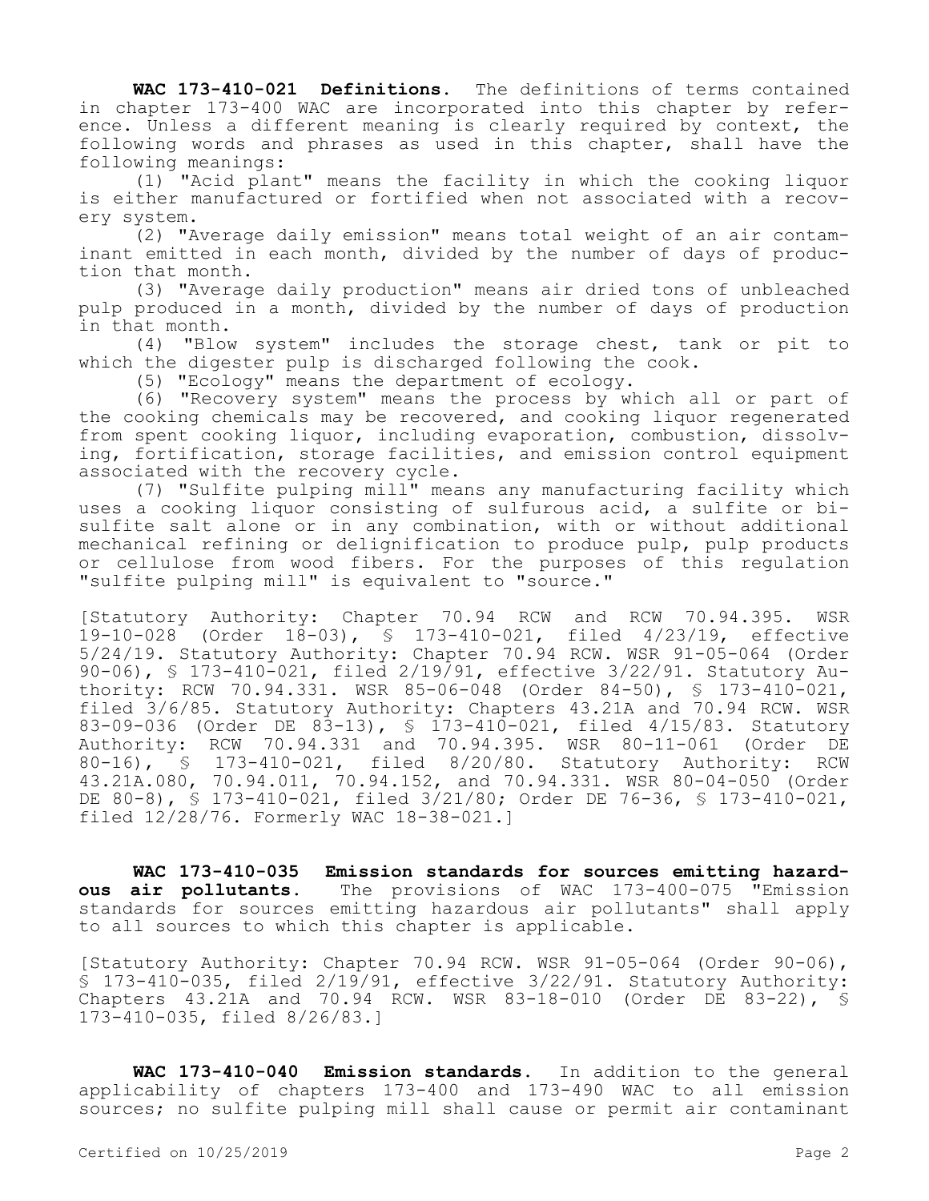**WAC 173-410-021 Definitions.** The definitions of terms contained in chapter 173-400 WAC are incorporated into this chapter by reference. Unless a different meaning is clearly required by context, the following words and phrases as used in this chapter, shall have the following meanings:

(1) "Acid plant" means the facility in which the cooking liquor is either manufactured or fortified when not associated with a recovery system.

(2) "Average daily emission" means total weight of an air contaminant emitted in each month, divided by the number of days of production that month.

(3) "Average daily production" means air dried tons of unbleached pulp produced in a month, divided by the number of days of production in that month.

(4) "Blow system" includes the storage chest, tank or pit to which the digester pulp is discharged following the cook.

(5) "Ecology" means the department of ecology.

(6) "Recovery system" means the process by which all or part of the cooking chemicals may be recovered, and cooking liquor regenerated from spent cooking liquor, including evaporation, combustion, dissolving, fortification, storage facilities, and emission control equipment associated with the recovery cycle.

(7) "Sulfite pulping mill" means any manufacturing facility which uses a cooking liquor consisting of sulfurous acid, a sulfite or bisulfite salt alone or in any combination, with or without additional mechanical refining or delignification to produce pulp, pulp products or cellulose from wood fibers. For the purposes of this regulation "sulfite pulping mill" is equivalent to "source."

[Statutory Authority: Chapter 70.94 RCW and RCW 70.94.395. WSR 19-10-028 (Order 18-03), § 173-410-021, filed 4/23/19, effective 5/24/19. Statutory Authority: Chapter 70.94 RCW. WSR 91-05-064 (Order 90-06), § 173-410-021, filed 2/19/91, effective 3/22/91. Statutory Authority: RCW 70.94.331. WSR 85-06-048 (Order 84-50), § 173-410-021, filed 3/6/85. Statutory Authority: Chapters 43.21A and 70.94 RCW. WSR 83-09-036 (Order DE 83-13), § 173-410-021, filed 4/15/83. Statutory Authority: RCW 70.94.331 and 70.94.395. WSR 80-11-061 (Order DE 80-16), § 173-410-021, filed 8/20/80. Statutory Authority: RCW 43.21A.080, 70.94.011, 70.94.152, and 70.94.331. WSR 80-04-050 (Order DE 80-8), § 173-410-021, filed 3/21/80; Order DE 76-36, § 173-410-021, filed 12/28/76. Formerly WAC 18-38-021.]

**WAC 173-410-035 Emission standards for sources emitting hazardous air pollutants.** The provisions of WAC 173-400-075 "Emission standards for sources emitting hazardous air pollutants" shall apply to all sources to which this chapter is applicable.

[Statutory Authority: Chapter 70.94 RCW. WSR 91-05-064 (Order 90-06), § 173-410-035, filed 2/19/91, effective 3/22/91. Statutory Authority: Chapters 43.21A and 70.94 RCW. WSR 83-18-010 (Order DE 83-22), § 173-410-035, filed 8/26/83.]

**WAC 173-410-040 Emission standards.** In addition to the general applicability of chapters 173-400 and 173-490 WAC to all emission sources; no sulfite pulping mill shall cause or permit air contaminant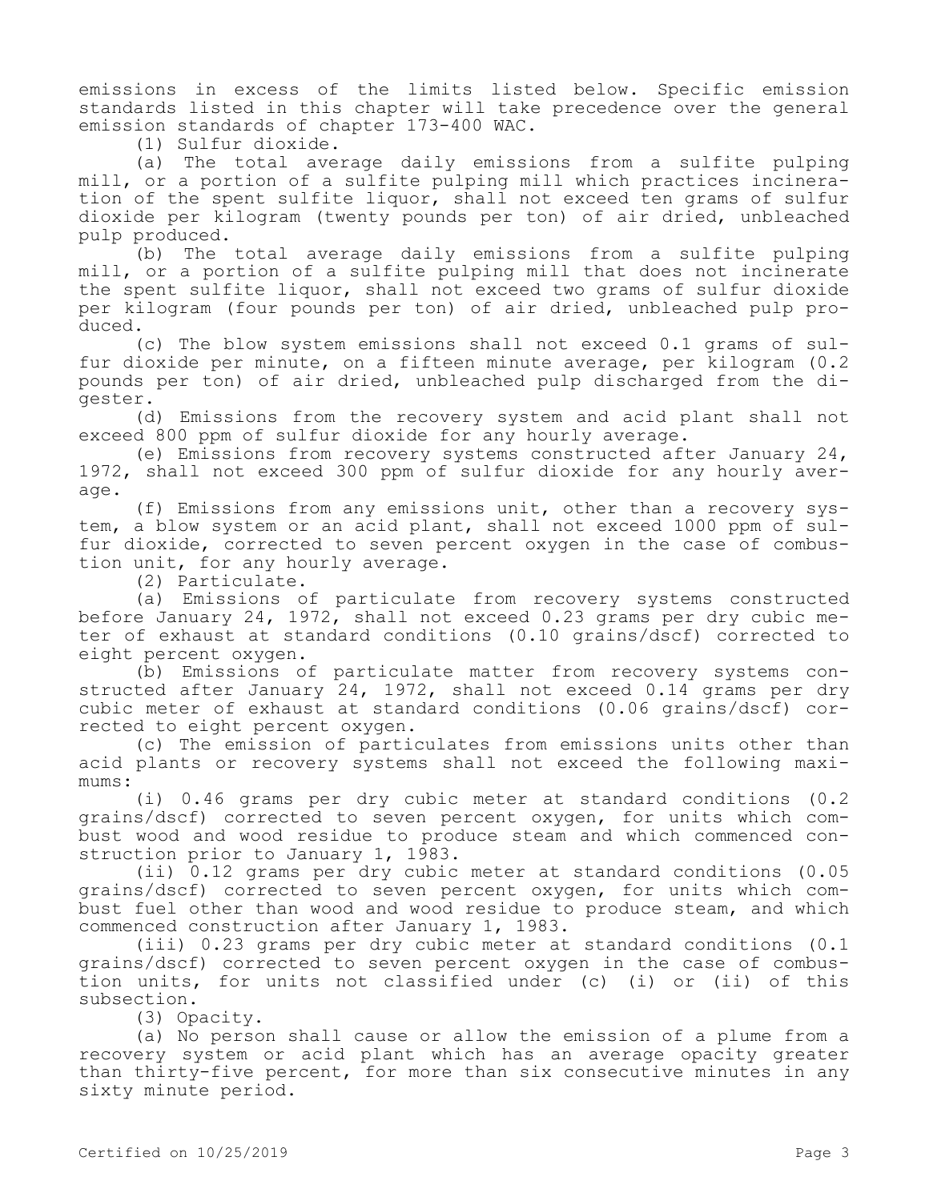emissions in excess of the limits listed below. Specific emission standards listed in this chapter will take precedence over the general emission standards of chapter 173-400 WAC.

(1) Sulfur dioxide.

(a) The total average daily emissions from a sulfite pulping mill, or a portion of a sulfite pulping mill which practices incineration of the spent sulfite liquor, shall not exceed ten grams of sulfur dioxide per kilogram (twenty pounds per ton) of air dried, unbleached pulp produced.

(b) The total average daily emissions from a sulfite pulping mill, or a portion of a sulfite pulping mill that does not incinerate the spent sulfite liquor, shall not exceed two grams of sulfur dioxide per kilogram (four pounds per ton) of air dried, unbleached pulp produced.

(c) The blow system emissions shall not exceed 0.1 grams of sulfur dioxide per minute, on a fifteen minute average, per kilogram (0.2 pounds per ton) of air dried, unbleached pulp discharged from the digester.

(d) Emissions from the recovery system and acid plant shall not exceed 800 ppm of sulfur dioxide for any hourly average.

(e) Emissions from recovery systems constructed after January 24, 1972, shall not exceed 300 ppm of sulfur dioxide for any hourly average.

(f) Emissions from any emissions unit, other than a recovery system, a blow system or an acid plant, shall not exceed 1000 ppm of sulfur dioxide, corrected to seven percent oxygen in the case of combustion unit, for any hourly average.

(2) Particulate.

(a) Emissions of particulate from recovery systems constructed before January 24, 1972, shall not exceed 0.23 grams per dry cubic meter of exhaust at standard conditions (0.10 grains/dscf) corrected to eight percent oxygen.

(b) Emissions of particulate matter from recovery systems constructed after January 24, 1972, shall not exceed 0.14 grams per dry cubic meter of exhaust at standard conditions (0.06 grains/dscf) corrected to eight percent oxygen.

(c) The emission of particulates from emissions units other than acid plants or recovery systems shall not exceed the following maximums:

(i) 0.46 grams per dry cubic meter at standard conditions (0.2 grains/dscf) corrected to seven percent oxygen, for units which combust wood and wood residue to produce steam and which commenced construction prior to January 1, 1983.

(ii) 0.12 grams per dry cubic meter at standard conditions (0.05 grains/dscf) corrected to seven percent oxygen, for units which combust fuel other than wood and wood residue to produce steam, and which commenced construction after January 1, 1983.

(iii) 0.23 grams per dry cubic meter at standard conditions (0.1 grains/dscf) corrected to seven percent oxygen in the case of combustion units, for units not classified under (c) (i) or (ii) of this subsection.

(3) Opacity.

(a) No person shall cause or allow the emission of a plume from a recovery system or acid plant which has an average opacity greater than thirty-five percent, for more than six consecutive minutes in any sixty minute period.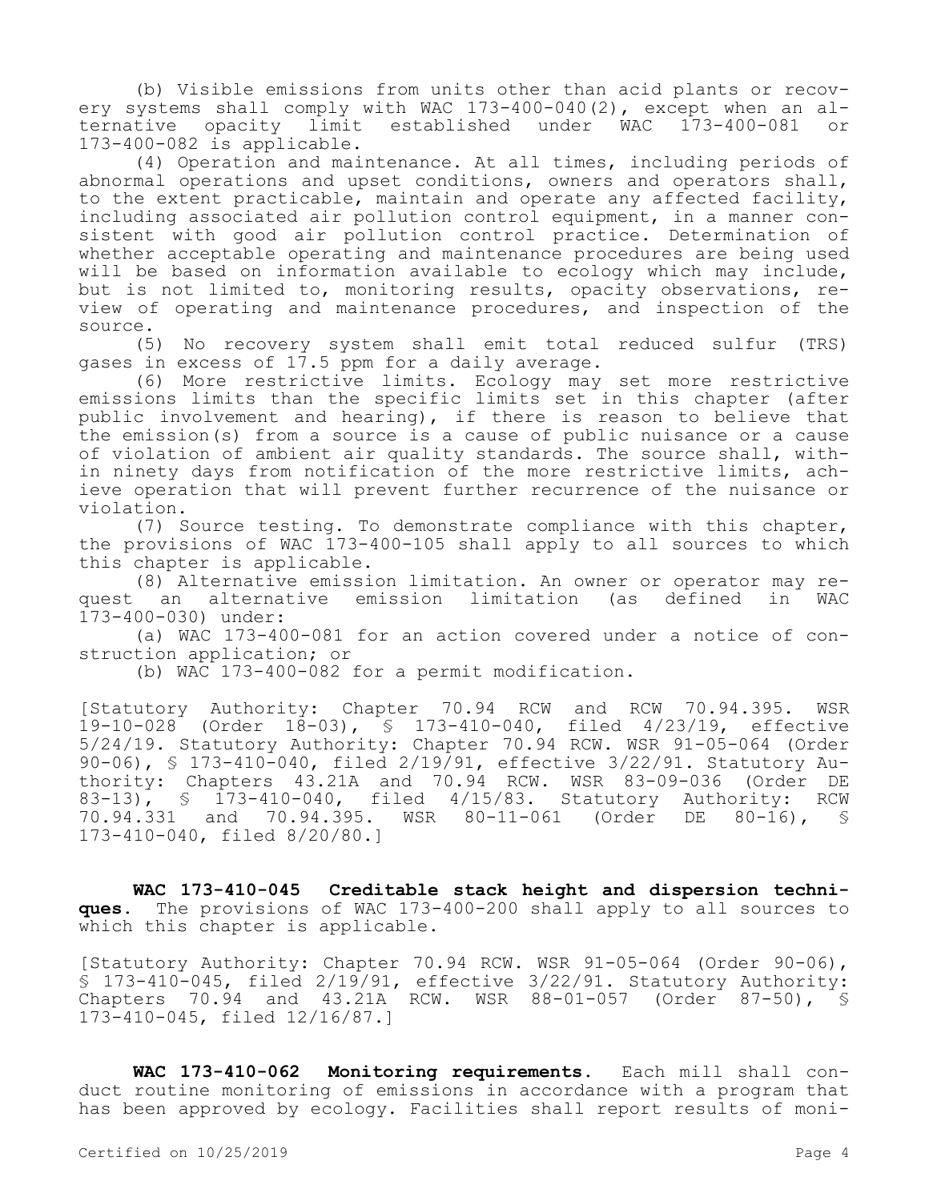(b) Visible emissions from units other than acid plants or recovery systems shall comply with WAC 173-400-040(2), except when an al-<br>ternative opacity limit established under WAC 173-400-081 or established under WAC 173-400-081 or 173-400-082 is applicable.

(4) Operation and maintenance. At all times, including periods of abnormal operations and upset conditions, owners and operators shall, to the extent practicable, maintain and operate any affected facility, including associated air pollution control equipment, in a manner consistent with good air pollution control practice. Determination of whether acceptable operating and maintenance procedures are being used will be based on information available to ecology which may include, but is not limited to, monitoring results, opacity observations, review of operating and maintenance procedures, and inspection of the source.

(5) No recovery system shall emit total reduced sulfur (TRS) gases in excess of  $17.5$  ppm for a daily average.

(6) More restrictive limits. Ecology may set more restrictive emissions limits than the specific limits set in this chapter (after public involvement and hearing), if there is reason to believe that the emission(s) from a source is a cause of public nuisance or a cause of violation of ambient air quality standards. The source shall, within ninety days from notification of the more restrictive limits, achieve operation that will prevent further recurrence of the nuisance or violation.

(7) Source testing. To demonstrate compliance with this chapter, the provisions of WAC 173-400-105 shall apply to all sources to which this chapter is applicable.

(8) Alternative emission limitation. An owner or operator may request an alternative emission limitation (as defined in WAC 173-400-030) under:

(a) WAC 173-400-081 for an action covered under a notice of construction application; or

(b) WAC 173-400-082 for a permit modification.

[Statutory Authority: Chapter 70.94 RCW and RCW 70.94.395. WSR 19-10-028 (Order 18-03), § 173-410-040, filed 4/23/19, effective 5/24/19. Statutory Authority: Chapter 70.94 RCW. WSR 91-05-064 (Order 90-06), § 173-410-040, filed 2/19/91, effective 3/22/91. Statutory Authority: Chapters 43.21A and 70.94 RCW. WSR 83-09-036 (Order DE 83-13), § 173-410-040, filed 4/15/83. Statutory Authority: RCW<br>70.94.331 and 70.94.395. WSR 80-11-061 (Order DE 80-16), § and 70.94.395. WSR 80-11-061 (Order DE 80-16), § 173-410-040, filed 8/20/80.]

**WAC 173-410-045 Creditable stack height and dispersion techniques.** The provisions of WAC 173-400-200 shall apply to all sources to which this chapter is applicable.

[Statutory Authority: Chapter 70.94 RCW. WSR 91-05-064 (Order 90-06), § 173-410-045, filed 2/19/91, effective 3/22/91. Statutory Authority: Chapters 70.94 and 43.21A RCW. WSR 88-01-057 (Order 87-50), § 173-410-045, filed 12/16/87.]

**WAC 173-410-062 Monitoring requirements.** Each mill shall conduct routine monitoring of emissions in accordance with a program that has been approved by ecology. Facilities shall report results of moni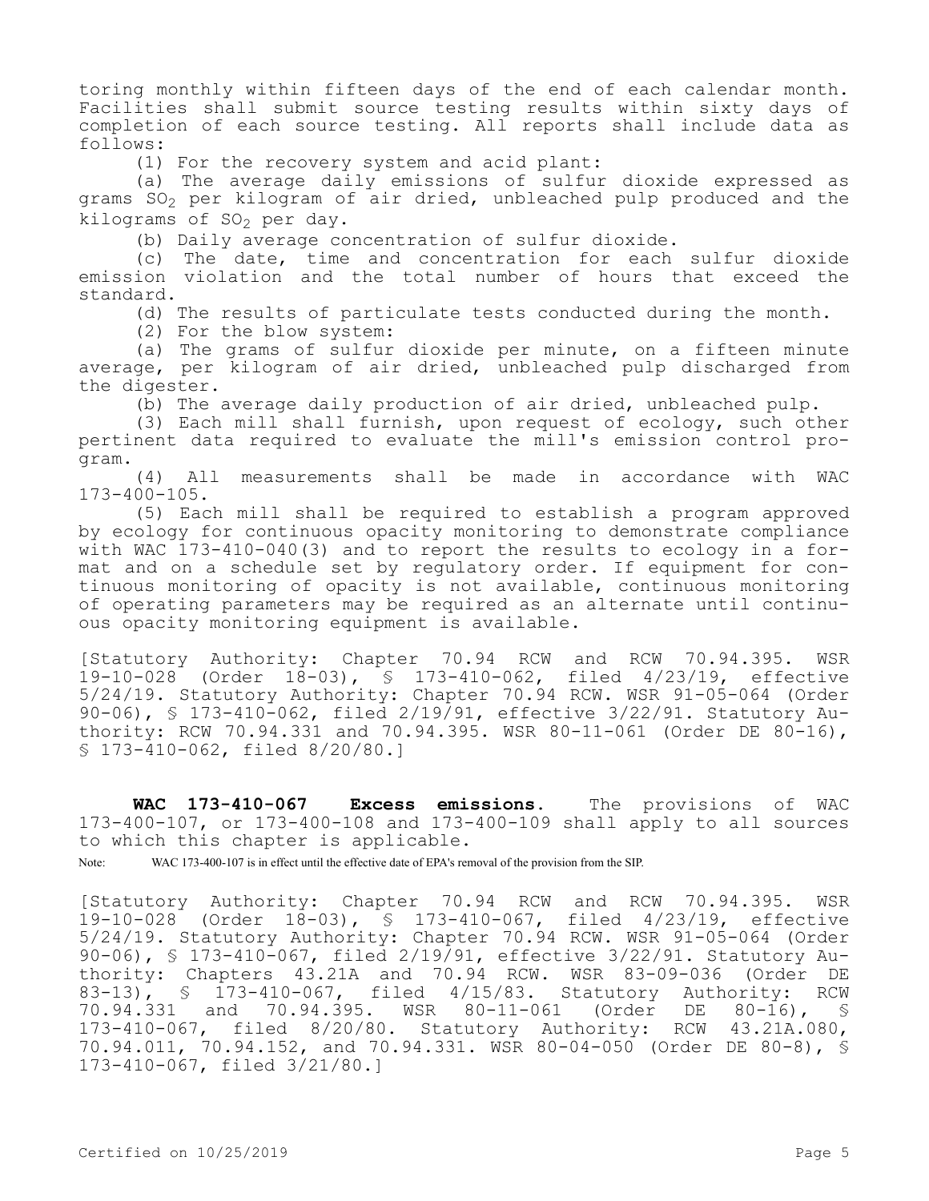toring monthly within fifteen days of the end of each calendar month. Facilities shall submit source testing results within sixty days of completion of each source testing. All reports shall include data as follows:

(1) For the recovery system and acid plant:

(a) The average daily emissions of sulfur dioxide expressed as grams SO<sub>2</sub> per kilogram of air dried, unbleached pulp produced and the kilograms of  $SO_2$  per day.

(b) Daily average concentration of sulfur dioxide.

(c) The date, time and concentration for each sulfur dioxide emission violation and the total number of hours that exceed the standard.

(d) The results of particulate tests conducted during the month.

(2) For the blow system:

(a) The grams of sulfur dioxide per minute, on a fifteen minute average, per kilogram of air dried, unbleached pulp discharged from the digester.

(b) The average daily production of air dried, unbleached pulp.

(3) Each mill shall furnish, upon request of ecology, such other pertinent data required to evaluate the mill's emission control program.

(4) All measurements shall be made in accordance with WAC 173-400-105.

(5) Each mill shall be required to establish a program approved by ecology for continuous opacity monitoring to demonstrate compliance with WAC 173-410-040(3) and to report the results to ecology in a format and on a schedule set by regulatory order. If equipment for continuous monitoring of opacity is not available, continuous monitoring of operating parameters may be required as an alternate until continuous opacity monitoring equipment is available.

[Statutory Authority: Chapter 70.94 RCW and RCW 70.94.395. WSR 19-10-028 (Order 18-03), § 173-410-062, filed 4/23/19, effective 5/24/19. Statutory Authority: Chapter 70.94 RCW. WSR 91-05-064 (Order  $90-06$ , § 173-410-062, filed 2/19/91, effective 3/22/91. Statutory Authority: RCW 70.94.331 and 70.94.395. WSR 80-11-061 (Order DE 80-16), § 173-410-062, filed 8/20/80.]

**WAC 173-410-067 Excess emissions.** The provisions of WAC 173-400-107, or 173-400-108 and 173-400-109 shall apply to all sources to which this chapter is applicable.

Note: WAC 173-400-107 is in effect until the effective date of EPA's removal of the provision from the SIP.

[Statutory Authority: Chapter 70.94 RCW and RCW 70.94.395. WSR 19-10-028 (Order 18-03), § 173-410-067, filed 4/23/19, effective 5/24/19. Statutory Authority: Chapter 70.94 RCW. WSR 91-05-064 (Order 90-06), § 173-410-067, filed 2/19/91, effective 3/22/91. Statutory Authority: Chapters 43.21A and 70.94 RCW. WSR 83-09-036 (Order DE 83-13), § 173-410-067, filed 4/15/83. Statutory Authority: RCW 70.94.331 and 70.94.395. WSR 80-11-061 (Order DE 80-16), § 173-410-067, filed 8/20/80. Statutory Authority: RCW 43.21A.080, 70.94.011, 70.94.152, and 70.94.331. WSR 80-04-050 (Order DE 80-8), § 173-410-067, filed 3/21/80.]